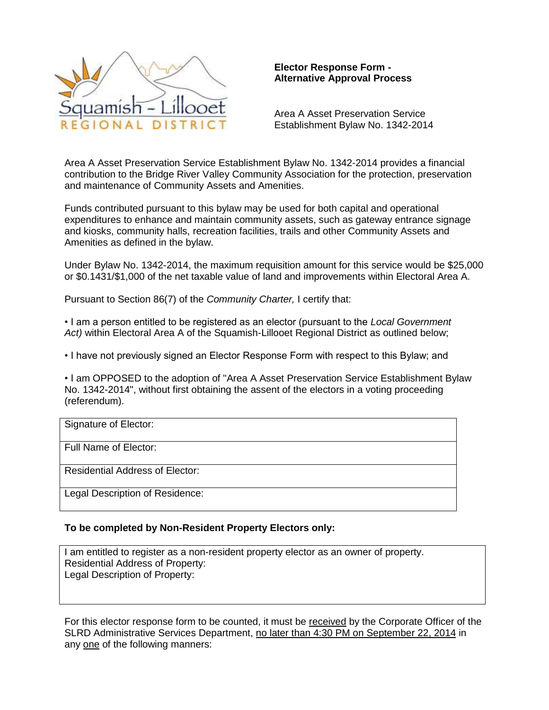

# **Elector Response Form - Alternative Approval Process**

Area A Asset Preservation Service Establishment Bylaw No. 1342-2014

Area A Asset Preservation Service Establishment Bylaw No. 1342-2014 provides a financial contribution to the Bridge River Valley Community Association for the protection, preservation and maintenance of Community Assets and Amenities.

Funds contributed pursuant to this bylaw may be used for both capital and operational expenditures to enhance and maintain community assets, such as gateway entrance signage and kiosks, community halls, recreation facilities, trails and other Community Assets and Amenities as defined in the bylaw.

Under Bylaw No. 1342-2014, the maximum requisition amount for this service would be \$25,000 or \$0.1431/\$1,000 of the net taxable value of land and improvements within Electoral Area A.

Pursuant to Section 86(7) of the *Community Charter,* I certify that:

• I am a person entitled to be registered as an elector (pursuant to the *Local Government* Act) within Electoral Area A of the Squamish-Lillooet Regional District as outlined below;

• I have not previously signed an Elector Response Form with respect to this Bylaw; and

• I am OPPOSED to the adoption of "Area A Asset Preservation Service Establishment Bylaw No. 1342-2014", without first obtaining the assent of the electors in a voting proceeding (referendum).

| Signature of Elector:                  |
|----------------------------------------|
| Full Name of Elector:                  |
| <b>Residential Address of Elector:</b> |
| Legal Description of Residence:        |

# **To be completed by Non-Resident Property Electors only:**

I am entitled to register as a non-resident property elector as an owner of property. Residential Address of Property: Legal Description of Property:

For this elector response form to be counted, it must be received by the Corporate Officer of the SLRD Administrative Services Department, no later than 4:30 PM on September 22, 2014 in any one of the following manners: